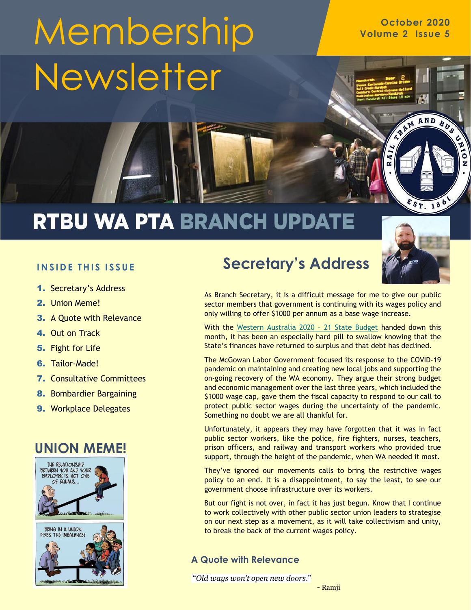# Membership volume 2 **Issue 5** Newsletter

## **RTBU WA PTA BRANCH UPDATE**

#### **INSIDE THIS ISSUE**

- 1. Secretary's Address
- 2. Union Meme!
- 3. A Quote with Relevance
- 4. Out on Track
- 5. Fight for Life
- 6. Tailor-Made!
- 7. Consultative Committees
- 8. Bombardier Bargaining
- **9. Workplace Delegates**





### **Secretary's Address**



 $557.186$ 

RAM AND BUS

EN

z

As Branch Secretary, it is a difficult message for me to give our public sector members that government is continuing with its wages policy and only willing to offer \$1000 per annum as a base wage increase.

With the [Western Australia 2020](https://www.ourstatebudget.wa.gov.au/) - 21 State Budget handed down this month, it has been an especially hard pill to swallow knowing that the State's finances have returned to surplus and that debt has declined.

The McGowan Labor Government focused its response to the COVID-19 pandemic on maintaining and creating new local jobs and supporting the on-going recovery of the WA economy. They argue their strong budget and economic management over the last three years, which included the \$1000 wage cap, gave them the fiscal capacity to respond to our call to protect public sector wages during the uncertainty of the pandemic. Something no doubt we are all thankful for.

Unfortunately, it appears they may have forgotten that it was in fact public sector workers, like the police, fire fighters, nurses, teachers, prison officers, and railway and transport workers who provided true support, through the height of the pandemic, when WA needed it most.

They've ignored our movements calls to bring the restrictive wages policy to an end. It is a disappointment, to say the least, to see our government choose infrastructure over its workers.

But our fight is not over, in fact it has just begun. Know that I continue to work collectively with other public sector union leaders to strategise on our next step as a movement, as it will take collectivism and unity, to break the back of the current wages policy.

#### **A Quote with Relevance**

"*Old ways won't open new doors.*"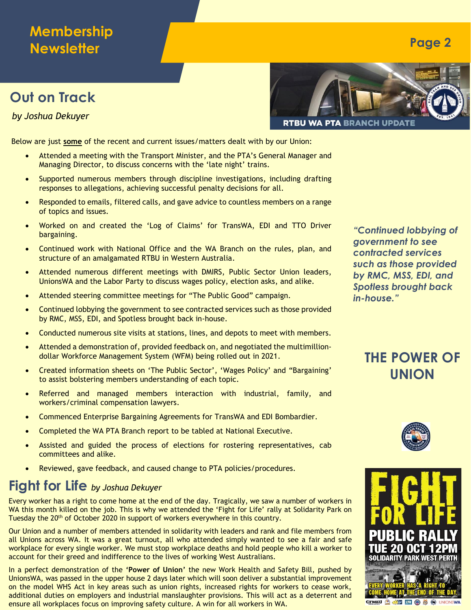#### **Membership Newsletter**

#### **Out on Track**

*by Joshua Dekuyer*

**RTBU WA PTA BRANCH UPDA** 

Below are just **some** of the recent and current issues/matters dealt with by our Union:

- Attended a meeting with the Transport Minister, and the PTA's General Manager and Managing Director, to discuss concerns with the 'late night' trains.
- Supported numerous members through discipline investigations, including drafting responses to allegations, achieving successful penalty decisions for all.
- Responded to emails, filtered calls, and gave advice to countless members on a range of topics and issues.
- Worked on and created the 'Log of Claims' for TransWA, EDI and TTO Driver bargaining.
- Continued work with National Office and the WA Branch on the rules, plan, and structure of an amalgamated RTBU in Western Australia.
- Attended numerous different meetings with DMIRS, Public Sector Union leaders, UnionsWA and the Labor Party to discuss wages policy, election asks, and alike.
- Attended steering committee meetings for "The Public Good" campaign.
- Continued lobbying the government to see contracted services such as those provided by RMC, MSS, EDI, and Spotless brought back in-house.
- Conducted numerous site visits at stations, lines, and depots to meet with members.
- Attended a demonstration of, provided feedback on, and negotiated the multimilliondollar Workforce Management System (WFM) being rolled out in 2021.
- Created information sheets on 'The Public Sector', 'Wages Policy' and "Bargaining' to assist bolstering members understanding of each topic.
- Referred and managed members interaction with industrial, family, and workers/criminal compensation lawyers.
- Commenced Enterprise Bargaining Agreements for TransWA and EDI Bombardier.
- Completed the WA PTA Branch report to be tabled at National Executive.
- Assisted and guided the process of elections for rostering representatives, cab committees and alike.
- Reviewed, gave feedback, and caused change to PTA policies/procedures.

#### **Fight for Life** *by Joshua Dekuyer*

Every worker has a right to come home at the end of the day. Tragically, we saw a number of workers in WA this month killed on the job. This is why we attended the 'Fight for Life' rally at Solidarity Park on Tuesday the 20<sup>th</sup> of October 2020 in support of workers everywhere in this country.

Our Union and a number of members attended in solidarity with leaders and rank and file members from all Unions across WA. It was a great turnout, all who attended simply wanted to see a fair and safe workplace for every single worker. We must stop workplace deaths and hold people who kill a worker to account for their greed and indifference to the lives of working West Australians.

In a perfect demonstration of the **'Power of Union'** the new Work Health and Safety Bill, pushed by UnionsWA, was passed in the upper house 2 days later which will soon deliver a substantial improvement on the model WHS Act in key areas such as union rights, increased rights for workers to cease work, additional duties on employers and industrial manslaughter provisions. This will act as a deterrent and ensure all workplaces focus on improving safety culture. A win for all workers in WA.

*"Continued lobbying of government to see contracted services such as those provided by RMC, MSS, EDI, and Spotless brought back in-house."*

#### **THE POWER OF UNION**





**Page 2**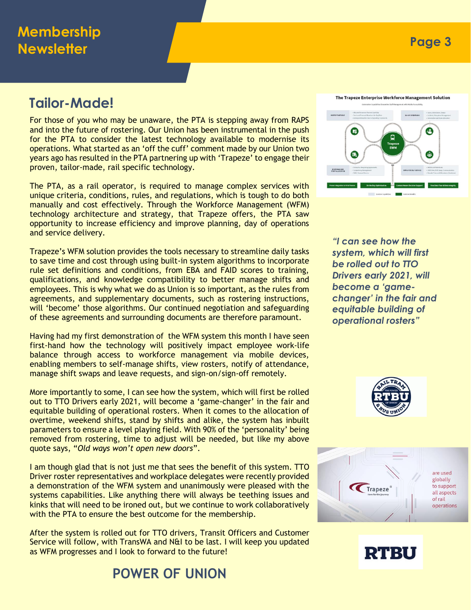For those of you who may be unaware, the PTA is stepping away from RAPS and into the future of rostering. Our Union has been instrumental in the push for the PTA to consider the latest technology available to modernise its operations. What started as an 'off the cuff' comment made by our Union two years ago has resulted in the PTA partnering up with 'Trapeze' to engage their proven, tailor-made, rail specific technology.

The PTA, as a rail operator, is required to manage complex services with unique criteria, conditions, rules, and regulations, which is tough to do both manually and cost effectively. Through the Workforce Management (WFM) technology architecture and strategy, that Trapeze offers, the PTA saw opportunity to increase efficiency and improve planning, day of operations and service delivery.

Trapeze's WFM solution provides the tools necessary to streamline daily tasks to save time and cost through using built-in system algorithms to incorporate rule set definitions and conditions, from EBA and FAID scores to training, qualifications, and knowledge compatibility to better manage shifts and employees. This is why what we do as Union is so important, as the rules from agreements, and supplementary documents, such as rostering instructions, will 'become' those algorithms. Our continued negotiation and safeguarding of these agreements and surrounding documents are therefore paramount.

Having had my first demonstration of the WFM system this month I have seen first-hand how the technology will positively impact employee work-life balance through access to workforce management via mobile devices, enabling members to self-manage shifts, view rosters, notify of attendance, manage shift swaps and leave requests, and sign-on/sign-off remotely.

More importantly to some, I can see how the system, which will first be rolled out to TTO Drivers early 2021, will become a 'game-changer' in the fair and equitable building of operational rosters. When it comes to the allocation of overtime, weekend shifts, stand by shifts and alike, the system has inbuilt parameters to ensure a level playing field. With 90% of the 'personality' being removed from rostering, time to adjust will be needed, but like my above quote says, "*Old ways won't open new doors*".

I am though glad that is not just me that sees the benefit of this system. TTO Driver roster representatives and workplace delegates were recently provided a demonstration of the WFM system and unanimously were pleased with the systems capabilities. Like anything there will always be teething issues and kinks that will need to be ironed out, but we continue to work collaboratively with the PTA to ensure the best outcome for the membership.

After the system is rolled out for TTO drivers, Transit Officers and Customer Service will follow, with TransWA and N&I to be last. I will keep you updated as WFM progresses and I look to forward to the future!

**POWER OF UNION**

The Trapeze Enterprise Workforce Management Solution



*"I can see how the system, which will first be rolled out to TTO Drivers early 2021, will become a 'gamechanger' in the fair and equitable building of operational rosters"*